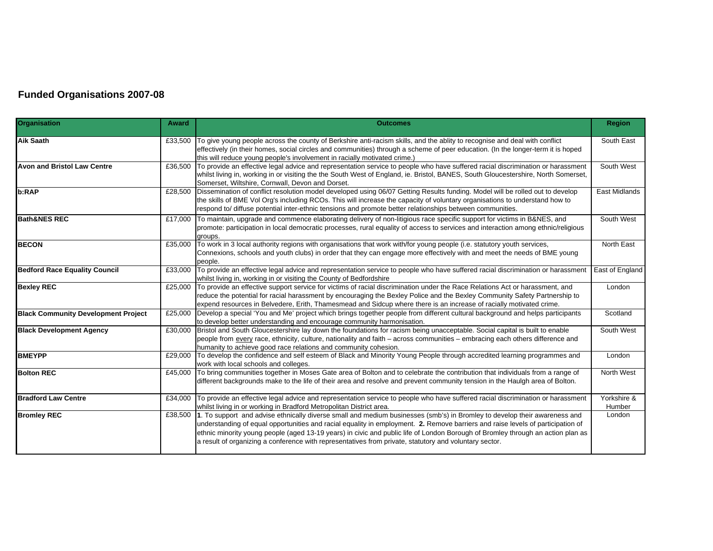## **Funded Organisations 2007-08**

| Organisation                               | <b>Award</b> | <b>Outcomes</b>                                                                                                                                                                                                                                                                                                                                                                                                                                                                                                   | <b>Region</b>         |
|--------------------------------------------|--------------|-------------------------------------------------------------------------------------------------------------------------------------------------------------------------------------------------------------------------------------------------------------------------------------------------------------------------------------------------------------------------------------------------------------------------------------------------------------------------------------------------------------------|-----------------------|
| <b>Aik Saath</b>                           | £33,500      | To give young people across the county of Berkshire anti-racism skills, and the ablity to recognise and deal with conflict<br>effectively (in their homes, social circles and communities) through a scheme of peer education. (In the longer-term it is hoped<br>this will reduce young people's involvement in racially motivated crime.)                                                                                                                                                                       | South East            |
| <b>Avon and Bristol Law Centre</b>         |              | £36,500 To provide an effective legal advice and representation service to people who have suffered racial discrimination or harassment<br>whilst living in, working in or visiting the the South West of England, ie. Bristol, BANES, South Gloucestershire, North Somerset,<br>Somerset, Wiltshire, Cornwall, Devon and Dorset.                                                                                                                                                                                 | South West            |
| b:RAP                                      |              | £28,500 Dissemination of conflict resolution model developed using 06/07 Getting Results funding. Model will be rolled out to develop<br>the skills of BME Vol Org's including RCOs. This will increase the capacity of voluntary organisations to understand how to<br>respond to/ diffuse potential inter-ethnic tensions and promote better relationships between communities.                                                                                                                                 | East Midlands         |
| <b>Bath&amp;NES REC</b>                    |              | £17,000 To maintain, upgrade and commence elaborating delivery of non-litigious race specific support for victims in B&NES, and<br>promote: participation in local democratic processes, rural equality of access to services and interaction among ethnic/religious<br>aroups.                                                                                                                                                                                                                                   | South West            |
| <b>BECON</b>                               | £35,000      | To work in 3 local authority regions with organisations that work with/for young people (i.e. statutory youth services,<br>Connexions, schools and youth clubs) in order that they can engage more effectively with and meet the needs of BME young<br>people.                                                                                                                                                                                                                                                    | North East            |
| <b>Bedford Race Equality Council</b>       | £33,000      | To provide an effective legal advice and representation service to people who have suffered racial discrimination or harassment<br>whilst living in, working in or visiting the County of Bedfordshire                                                                                                                                                                                                                                                                                                            | East of England       |
| <b>Bexley REC</b>                          |              | £25,000 To provide an effective support service for victims of racial discrimination under the Race Relations Act or harassment, and<br>reduce the potential for racial harassment by encouraging the Bexley Police and the Bexley Community Safety Partnership to<br>expend resources in Belvedere, Erith, Thamesmead and Sidcup where there is an increase of racially motivated crime.                                                                                                                         | London                |
| <b>Black Community Development Project</b> |              | £25,000 Develop a special 'You and Me' project which brings together people from different cultural background and helps participants<br>to develop better understanding and encourage community harmonisation.                                                                                                                                                                                                                                                                                                   | Scotland              |
| <b>Black Development Agency</b>            | £30.000      | Bristol and South Gloucestershire lay down the foundations for racism being unacceptable. Social capital is built to enable<br>people from every race, ethnicity, culture, nationality and faith - across communities - embracing each others difference and<br>humanity to achieve good race relations and community cohesion.                                                                                                                                                                                   | South West            |
| <b>BMEYPP</b>                              | £29,000      | To develop the confidence and self esteem of Black and Minority Young People through accredited learning programmes and<br>work with local schools and colleges.                                                                                                                                                                                                                                                                                                                                                  | London                |
| <b>Bolton REC</b>                          | £45,000      | To bring communities together in Moses Gate area of Bolton and to celebrate the contribution that individuals from a range of<br>different backgrounds make to the life of their area and resolve and prevent community tension in the Haulgh area of Bolton.                                                                                                                                                                                                                                                     | North West            |
| <b>Bradford Law Centre</b>                 | £34,000      | To provide an effective legal advice and representation service to people who have suffered racial discrimination or harassment<br>whilst living in or working in Bradford Metropolitan District area.                                                                                                                                                                                                                                                                                                            | Yorkshire &<br>Humber |
| <b>Bromley REC</b>                         |              | £38,500 1. To support and advise ethnically diverse small and medium businesses (smb's) in Bromley to develop their awareness and<br>understanding of equal opportunities and racial equality in employment. 2. Remove barriers and raise levels of participation of<br>ethnic minority young people (aged 13-19 years) in civic and public life of London Borough of Bromley through an action plan as<br>a result of organizing a conference with representatives from private, statutory and voluntary sector. | London                |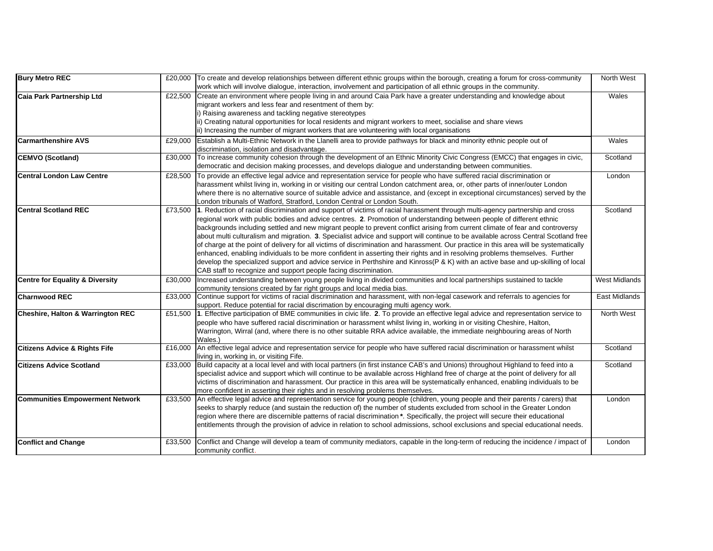| <b>Bury Metro REC</b>                        |         | £20,000 To create and develop relationships between different ethnic groups within the borough, creating a forum for cross-community       | North West           |
|----------------------------------------------|---------|--------------------------------------------------------------------------------------------------------------------------------------------|----------------------|
|                                              |         | work which will involve dialogue, interaction, involvement and participation of all ethnic groups in the community.                        |                      |
| <b>Caia Park Partnership Ltd</b>             |         | £22,500 Create an environment where people living in and around Caia Park have a greater understanding and knowledge about                 | Wales                |
|                                              |         | migrant workers and less fear and resentment of them by:                                                                                   |                      |
|                                              |         | i) Raising awareness and tackling negative stereotypes                                                                                     |                      |
|                                              |         | ii) Creating natural opportunities for local residents and migrant workers to meet, socialise and share views                              |                      |
|                                              |         | ii) Increasing the number of migrant workers that are volunteering with local organisations                                                |                      |
| <b>Carmarthenshire AVS</b>                   | £29,000 | Establish a Multi-Ethnic Network in the Llanelli area to provide pathways for black and minority ethnic people out of                      | Wales                |
|                                              |         | discrimination, isolation and disadvantage.                                                                                                |                      |
| <b>CEMVO (Scotland)</b>                      |         | £30,000 To increase community cohesion through the development of an Ethnic Minority Civic Congress (EMCC) that engages in civic,          | Scotland             |
|                                              |         | democratic and decision making processes, and develops dialogue and understanding between communities.                                     |                      |
| <b>Central London Law Centre</b>             | £28,500 | To provide an effective legal advice and representation service for people who have suffered racial discrimination or                      | London               |
|                                              |         | harassment whilst living in, working in or visiting our central London catchment area, or, other parts of inner/outer London               |                      |
|                                              |         | where there is no alternative source of suitable advice and assistance, and (except in exceptional circumstances) served by the            |                      |
|                                              |         | London tribunals of Watford, Stratford, London Central or London South.                                                                    |                      |
| <b>Central Scotland REC</b>                  |         | £73,500 1. Reduction of racial discrimination and support of victims of racial harassment through multi-agency partnership and cross       | Scotland             |
|                                              |         | regional work with public bodies and advice centres. 2. Promotion of understanding between people of different ethnic                      |                      |
|                                              |         | backgrounds including settled and new migrant people to prevent conflict arising from current climate of fear and controversy              |                      |
|                                              |         | about multi culturalism and migration. 3. Specialist advice and support will continue to be available across Central Scotland free         |                      |
|                                              |         | of charge at the point of delivery for all victims of discrimination and harassment. Our practice in this area will be systematically      |                      |
|                                              |         | enhanced, enabling individuals to be more confident in asserting their rights and in resolving problems themselves. Further                |                      |
|                                              |         | develop the specialized support and advice service in Perthshire and Kinross(P & K) with an active base and up-skilling of local           |                      |
|                                              |         | CAB staff to recognize and support people facing discrimination.                                                                           |                      |
| Centre for Equality & Diversity              | £30,000 | Increased understanding between young people living in divided communities and local partnerships sustained to tackle                      | <b>West Midlands</b> |
|                                              |         | community tensions created by far right groups and local media bias.                                                                       |                      |
| <b>Charnwood REC</b>                         |         | £33,000 Continue support for victims of racial discrimination and harassment, with non-legal casework and referrals to agencies for        | East Midlands        |
|                                              |         | support. Reduce potential for racial discrimation by encouraging multi agency work.                                                        |                      |
| <b>Cheshire, Halton &amp; Warrington REC</b> |         | £51,500 1. Effective participation of BME communities in civic life. 2. To provide an effective legal advice and representation service to | North West           |
|                                              |         | people who have suffered racial discrimination or harassment whilst living in, working in or visiting Cheshire, Halton,                    |                      |
|                                              |         | Warrington, Wirral (and, where there is no other suitable RRA advice available, the immediate neighbouring areas of North                  |                      |
|                                              |         | Wales.)                                                                                                                                    |                      |
| <b>Citizens Advice &amp; Rights Fife</b>     | £16,000 | An effective legal advice and representation service for people who have suffered racial discrimination or harassment whilst               | Scotland             |
|                                              |         | living in, working in, or visiting Fife.                                                                                                   |                      |
| <b>Citizens Advice Scotland</b>              | £33,000 | Build capacity at a local level and with local partners (in first instance CAB's and Unions) throughout Highland to feed into a            | Scotland             |
|                                              |         | specialist advice and support which will continue to be available across Highland free of charge at the point of delivery for all          |                      |
|                                              |         | victims of discrimination and harassment. Our practice in this area will be systematically enhanced, enabling individuals to be            |                      |
|                                              |         | more confident in asserting their rights and in resolving problems themselves.                                                             |                      |
| <b>Communities Empowerment Network</b>       |         | £33,500 An effective legal advice and representation service for young people (children, young people and their parents / carers) that     | London               |
|                                              |         | seeks to sharply reduce (and sustain the reduction of) the number of students excluded from school in the Greater London                   |                      |
|                                              |         | region where there are discernible patterns of racial discrimination *. Specifically, the project will secure their educational            |                      |
|                                              |         | entitlements through the provision of advice in relation to school admissions, school exclusions and special educational needs.            |                      |
| <b>Conflict and Change</b>                   | £33,500 | Conflict and Change will develop a team of community mediators, capable in the long-term of reducing the incidence / impact of             | London               |
|                                              |         | community conflict.                                                                                                                        |                      |
|                                              |         |                                                                                                                                            |                      |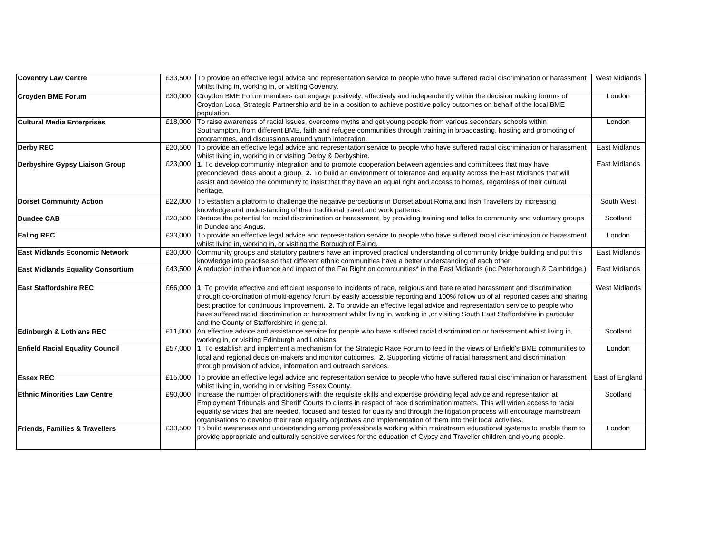| <b>Coventry Law Centre</b>               |         | £33,500 To provide an effective legal advice and representation service to people who have suffered racial discrimination or harassment<br>whilst living in, working in, or visiting Coventry.                                                                                                                                                                                                                                                                                                                                                                                               | <b>West Midlands</b> |
|------------------------------------------|---------|----------------------------------------------------------------------------------------------------------------------------------------------------------------------------------------------------------------------------------------------------------------------------------------------------------------------------------------------------------------------------------------------------------------------------------------------------------------------------------------------------------------------------------------------------------------------------------------------|----------------------|
| <b>Croyden BME Forum</b>                 | £30,000 | Croydon BME Forum members can engage positively, effectively and independently within the decision making forums of<br>Croydon Local Strategic Partnership and be in a position to achieve postitive policy outcomes on behalf of the local BME<br>population.                                                                                                                                                                                                                                                                                                                               | London               |
| <b>Cultural Media Enterprises</b>        | £18,000 | To raise awareness of racial issues, overcome myths and get young people from various secondary schools within<br>Southampton, from different BME, faith and refugee communities through training in broadcasting, hosting and promoting of<br>programmes, and discussions around youth integration.                                                                                                                                                                                                                                                                                         | London               |
| <b>Derby REC</b>                         |         | £20,500 To provide an effective legal advice and representation service to people who have suffered racial discrimination or harassment<br>whilst living in, working in or visiting Derby & Derbyshire.                                                                                                                                                                                                                                                                                                                                                                                      | <b>East Midlands</b> |
| Derbyshire Gypsy Liaison Group           | £23,000 | 1. To develop community integration and to promote cooperation between agencies and committees that may have<br>preconcieved ideas about a group. 2. To build an environment of tolerance and equality across the East Midlands that will<br>assist and develop the community to insist that they have an equal right and access to homes, regardless of their cultural<br>heritage.                                                                                                                                                                                                         | East Midlands        |
| <b>Dorset Community Action</b>           | £22,000 | To establish a platform to challenge the negative perceptions in Dorset about Roma and Irish Travellers by increasing<br>knowledge and understanding of their traditional travel and work patterns.                                                                                                                                                                                                                                                                                                                                                                                          | South West           |
| <b>Dundee CAB</b>                        |         | £20,500 Reduce the potential for racial discrimination or harassment, by providing training and talks to community and voluntary groups<br>in Dundee and Angus.                                                                                                                                                                                                                                                                                                                                                                                                                              | Scotland             |
| <b>Ealing REC</b>                        | £33.000 | To provide an effective legal advice and representation service to people who have suffered racial discrimination or harassment<br>whilst living in, working in, or visiting the Borough of Ealing.                                                                                                                                                                                                                                                                                                                                                                                          | London               |
| <b>East Midlands Economic Network</b>    | £30,000 | Community groups and statutory partners have an improved practical understanding of community bridge building and put this<br>knowledge into practise so that different ethnic communities have a better understanding of each other.                                                                                                                                                                                                                                                                                                                                                        | <b>East Midlands</b> |
| <b>East Midlands Equality Consortium</b> | £43.500 | A reduction in the influence and impact of the Far Right on communities* in the East Midlands (inc.Peterborough & Cambridge.)                                                                                                                                                                                                                                                                                                                                                                                                                                                                | East Midlands        |
| <b>East Staffordshire REC</b>            |         | £66,000 1. To provide effective and efficient response to incidents of race, religious and hate related harassment and discrimination<br>through co-ordination of multi-agency forum by easily accessible reporting and 100% follow up of all reported cases and sharing<br>best practice for continuous improvement. 2. To provide an effective legal advice and representation service to people who<br>have suffered racial discrimination or harassment whilst living in, working in , or visiting South East Staffordshire in particular<br>and the County of Staffordshire in general. | <b>West Midlands</b> |
| <b>Edinburgh &amp; Lothians REC</b>      | £11,000 | An effective advice and assistance service for people who have suffered racial discrimination or harassment whilst living in,<br>working in, or visiting Edinburgh and Lothians.                                                                                                                                                                                                                                                                                                                                                                                                             | Scotland             |
| <b>Enfield Racial Equality Council</b>   |         | £57,000 1. To establish and implement a mechanism for the Strategic Race Forum to feed in the views of Enfield's BME communities to<br>local and regional decision-makers and monitor outcomes. 2. Supporting victims of racial harassment and discrimination<br>through provision of advice, information and outreach services.                                                                                                                                                                                                                                                             | London               |
| <b>Essex REC</b>                         | £15,000 | To provide an effective legal advice and representation service to people who have suffered racial discrimination or harassment<br>whilst living in, working in or visiting Essex County.                                                                                                                                                                                                                                                                                                                                                                                                    | East of England      |
| <b>Ethnic Minorities Law Centre</b>      | £90,000 | Increase the number of practitioners with the requisite skills and expertise providing legal advice and representation at<br>Employment Tribunals and Sheriff Courts to clients in respect of race discrimination matters. This will widen access to racial<br>equality services that are needed, focused and tested for quality and through the litigation process will encourage mainstream<br>organisations to develop their race equality objectives and implementation of them into their local activities.                                                                             | Scotland             |
| Friends, Families & Travellers           | £33,500 | To build awareness and understanding among professionals working within mainstream educational systems to enable them to<br>provide appropriate and culturally sensitive services for the education of Gypsy and Traveller children and young people.                                                                                                                                                                                                                                                                                                                                        | London               |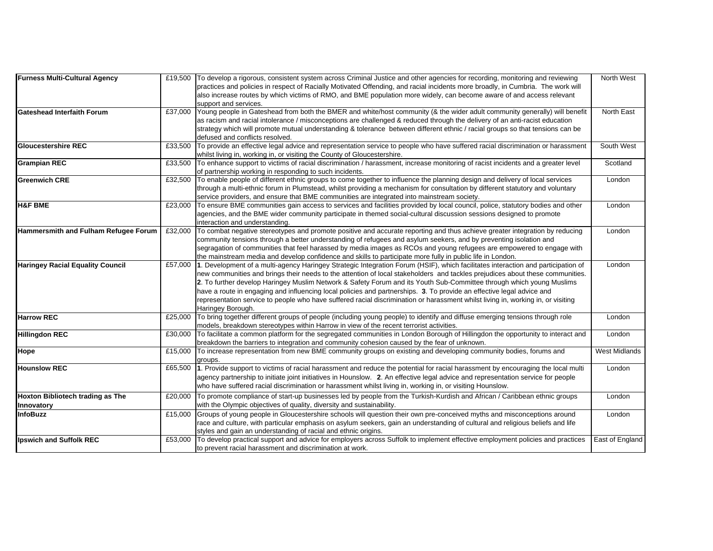| <b>Furness Multi-Cultural Agency</b>    |         | £19,500 To develop a rigorous, consistent system across Criminal Justice and other agencies for recording, monitoring and reviewing      | North West           |
|-----------------------------------------|---------|------------------------------------------------------------------------------------------------------------------------------------------|----------------------|
|                                         |         | practices and policies in respect of Racially Motivated Offending, and racial incidents more broadly, in Cumbria. The work will          |                      |
|                                         |         | also increase routes by which victims of RMO, and BME population more widely, can become aware of and access relevant                    |                      |
|                                         |         | support and services.                                                                                                                    |                      |
| <b>Gateshead Interfaith Forum</b>       | £37,000 | Young people in Gateshead from both the BMER and white/host community (& the wider adult community generally) will benefit               | North East           |
|                                         |         | as racism and racial intolerance / misconceptions are challenged & reduced through the delivery of an anti-racist education              |                      |
|                                         |         | strategy which will promote mutual understanding & tolerance between different ethnic / racial groups so that tensions can be            |                      |
|                                         |         | defused and conflicts resolved.                                                                                                          |                      |
| <b>Gloucestershire REC</b>              | £33,500 | To provide an effective legal advice and representation service to people who have suffered racial discrimination or harassment          | South West           |
|                                         |         | whilst living in, working in, or visiting the County of Gloucestershire.                                                                 |                      |
| <b>Grampian REC</b>                     |         | £33,500 To enhance support to victims of racial discrimination / harassment, increase monitoring of racist incidents and a greater level | Scotland             |
|                                         |         | of partnership working in responding to such incidents.                                                                                  |                      |
| <b>Greenwich CRE</b>                    | £32.500 | To enable people of different ethnic groups to come together to influence the planning design and delivery of local services             | London               |
|                                         |         | through a multi-ethnic forum in Plumstead, whilst providing a mechanism for consultation by different statutory and voluntary            |                      |
|                                         |         | service providers, and ensure that BME communities are integrated into mainstream society.                                               |                      |
| <b>H&amp;F BME</b>                      | £23,000 | To ensure BME communities gain access to services and facilities provided by local council, police, statutory bodies and other           | London               |
|                                         |         | agencies, and the BME wider community participate in themed social-cultural discussion sessions designed to promote                      |                      |
|                                         |         | interaction and understanding.                                                                                                           |                      |
| Hammersmith and Fulham Refugee Forum    | £32,000 | To combat negative stereotypes and promote positive and accurate reporting and thus achieve greater integration by reducing              | London               |
|                                         |         | community tensions through a better understanding of refugees and asylum seekers, and by preventing isolation and                        |                      |
|                                         |         | segragation of communities that feel harassed by media images as RCOs and young refugees are empowered to engage with                    |                      |
|                                         |         | the mainstream media and develop confidence and skills to participate more fully in public life in London.                               |                      |
| <b>Haringey Racial Equality Council</b> |         | £57,000 1. Development of a multi-agency Haringey Strategic Integration Forum (HSIF), which facilitates interaction and participation of | London               |
|                                         |         | new communities and brings their needs to the attention of local stakeholders and tackles prejudices about these communities.            |                      |
|                                         |         | 2. To further develop Haringey Muslim Network & Safety Forum and its Youth Sub-Committee through which young Muslims                     |                      |
|                                         |         | have a route in engaging and influencing local policies and partnerships. 3. To provide an effective legal advice and                    |                      |
|                                         |         | representation service to people who have suffered racial discrimination or harassment whilst living in, working in, or visiting         |                      |
|                                         |         | Haringey Borough.                                                                                                                        |                      |
| <b>Harrow REC</b>                       | £25.000 | To bring together different groups of people (including young people) to identify and diffuse emerging tensions through role             | London               |
|                                         |         | models, breakdown stereotypes within Harrow in view of the recent terrorist activities.                                                  |                      |
| <b>Hillingdon REC</b>                   | £30,000 | To facilitate a common platform for the segregated communities in London Borough of Hillingdon the opportunity to interact and           | London               |
|                                         |         | breakdown the barriers to integration and community cohesion caused by the fear of unknown.                                              |                      |
| Hope                                    | £15,000 | To increase representation from new BME community groups on existing and developing community bodies, forums and                         | <b>West Midlands</b> |
|                                         |         | groups.                                                                                                                                  |                      |
| <b>Hounslow REC</b>                     | £65,500 | 1. Provide support to victims of racial harassment and reduce the potential for racial harassment by encouraging the local multi         | London               |
|                                         |         | agency partnership to initiate joint initiatives in Hounslow. 2. An effective legal advice and representation service for people         |                      |
|                                         |         | who have suffered racial discrimination or harassment whilst living in, working in, or visiting Hounslow.                                |                      |
| <b>Hoxton Bibliotech trading as The</b> |         | £20,000 To promote compliance of start-up businesses led by people from the Turkish-Kurdish and African / Caribbean ethnic groups        | London               |
|                                         |         |                                                                                                                                          |                      |
| Innovatory                              |         | with the Olympic objectives of quality, diversity and sustainability.                                                                    |                      |
| InfoBuzz                                | £15,000 | Groups of young people in Gloucestershire schools will question their own pre-conceived myths and misconceptions around                  | London               |
|                                         |         | race and culture, with particular emphasis on asylum seekers, gain an understanding of cultural and religious beliefs and life           |                      |
|                                         |         | styles and gain an understanding of racial and ethnic origins.                                                                           |                      |
| Ipswich and Suffolk REC                 | £53.000 | To develop practical support and advice for employers across Suffolk to implement effective employment policies and practices            | East of England      |
|                                         |         | to prevent racial harassment and discrimination at work.                                                                                 |                      |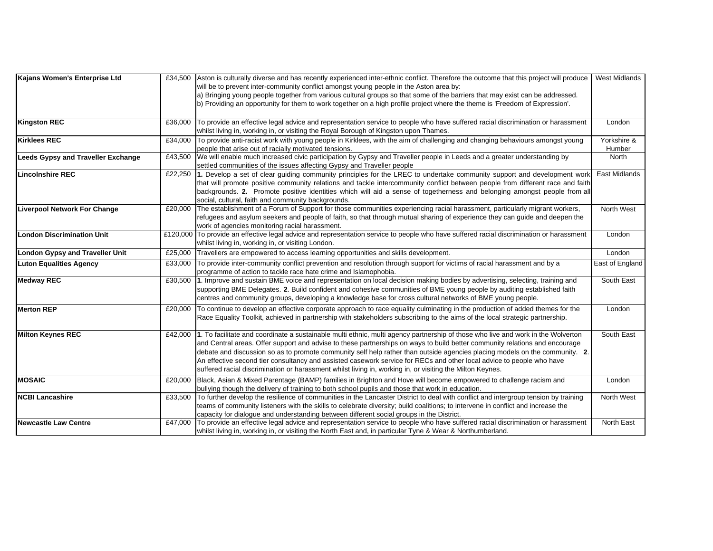| Kajans Women's Enterprise Ltd             |         | £34,500 Aston is culturally diverse and has recently experienced inter-ethnic conflict. Therefore the outcome that this project will produce | West Midlands        |
|-------------------------------------------|---------|----------------------------------------------------------------------------------------------------------------------------------------------|----------------------|
|                                           |         | will be to prevent inter-community conflict amongst young people in the Aston area by:                                                       |                      |
|                                           |         | a) Bringing young people together from various cultural groups so that some of the barriers that may exist can be addressed.                 |                      |
|                                           |         | b) Providing an opportunity for them to work together on a high profile project where the theme is 'Freedom of Expression'.                  |                      |
|                                           |         |                                                                                                                                              |                      |
| <b>Kingston REC</b>                       | £36,000 | To provide an effective legal advice and representation service to people who have suffered racial discrimination or harassment              | London               |
|                                           |         | whilst living in, working in, or visiting the Royal Borough of Kingston upon Thames.                                                         |                      |
| <b>Kirklees REC</b>                       |         | £34,000 To provide anti-racist work with young people in Kirklees, with the aim of challenging and changing behaviours amongst young         | Yorkshire &          |
|                                           |         | people that arise out of racially motivated tensions.                                                                                        | Humber               |
| <b>Leeds Gypsy and Traveller Exchange</b> | £43.500 | We will enable much increased civic participation by Gypsy and Traveller people in Leeds and a greater understanding by                      | North                |
|                                           |         | settled communities of the issues affecting Gypsy and Traveller people                                                                       |                      |
| <b>Lincolnshire REC</b>                   |         | £22,250 1. Develop a set of clear guiding community principles for the LREC to undertake community support and development worl              | <b>East Midlands</b> |
|                                           |         | that will promote positive community relations and tackle intercommunity conflict between people from different race and faith               |                      |
|                                           |         | backgrounds. 2. Promote positive identities which will aid a sense of togetherness and belonging amongst people from all                     |                      |
|                                           |         | social, cultural, faith and community backgrounds.                                                                                           |                      |
| <b>Liverpool Network For Change</b>       |         | £20,000 The establishment of a Forum of Support for those communities experiencing racial harassment, particularly migrant workers,          | North West           |
|                                           |         | refugees and asylum seekers and people of faith, so that through mutual sharing of experience they can guide and deepen the                  |                      |
|                                           |         | work of agencies monitoring racial harassment.                                                                                               |                      |
| <b>London Discrimination Unit</b>         |         | £120,000 To provide an effective legal advice and representation service to people who have suffered racial discrimination or harassment     | London               |
|                                           |         | whilst living in, working in, or visiting London.                                                                                            |                      |
| <b>London Gypsy and Traveller Unit</b>    |         | £25,000 Travellers are empowered to access learning opportunities and skills development.                                                    | London               |
| <b>Luton Equalities Agency</b>            | £33,000 | To provide inter-community conflict prevention and resolution through support for victims of racial harassment and by a                      | East of England      |
|                                           |         | programme of action to tackle race hate crime and Islamophobia.                                                                              |                      |
| <b>Medway REC</b>                         |         | £30,500 1. Improve and sustain BME voice and representation on local decision making bodies by advertising, selecting, training and          | South East           |
|                                           |         | supporting BME Delegates. 2. Build confident and cohesive communities of BME young people by auditing established faith                      |                      |
|                                           |         | centres and community groups, developing a knowledge base for cross cultural networks of BME young people.                                   |                      |
| <b>Merton REP</b>                         |         | £20,000 To continue to develop an effective corporate approach to race equality culminating in the production of added themes for the        | London               |
|                                           |         | Race Equality Toolkit, achieved in partnership with stakeholders subscribing to the aims of the local strategic partnership.                 |                      |
|                                           |         |                                                                                                                                              |                      |
| <b>Milton Keynes REC</b>                  |         | £42,000 1. To facilitate and coordinate a sustainable multi ethnic, multi agency partnership of those who live and work in the Wolverton     | South East           |
|                                           |         | and Central areas. Offer support and advise to these partnerships on ways to build better community relations and encourage                  |                      |
|                                           |         | debate and discussion so as to promote community self help rather than outside agencies placing models on the community. 2.                  |                      |
|                                           |         | An effective second tier consultancy and assisted casework service for RECs and other local advice to people who have                        |                      |
|                                           |         | suffered racial discrimination or harassment whilst living in, working in, or visiting the Milton Keynes.                                    |                      |
| <b>IMOSAIC</b>                            | £20,000 | Black, Asian & Mixed Parentage (BAMP) families in Brighton and Hove will become empowered to challenge racism and                            | London               |
|                                           |         | bullying though the delivery of training to both school pupils and those that work in education.                                             |                      |
| <b>NCBI Lancashire</b>                    |         | £33,500 To further develop the resilience of communities in the Lancaster District to deal with conflict and intergroup tension by training  | North West           |
|                                           |         | teams of community listeners with the skills to celebrate diversity; build coalitions; to intervene in conflict and increase the             |                      |
|                                           |         | capacity for dialogue and understanding between different social groups in the District.                                                     |                      |
| <b>Newcastle Law Centre</b>               |         | £47,000 To provide an effective legal advice and representation service to people who have suffered racial discrimination or harassment      | North East           |
|                                           |         | whilst living in, working in, or visiting the North East and, in particular Tyne & Wear & Northumberland.                                    |                      |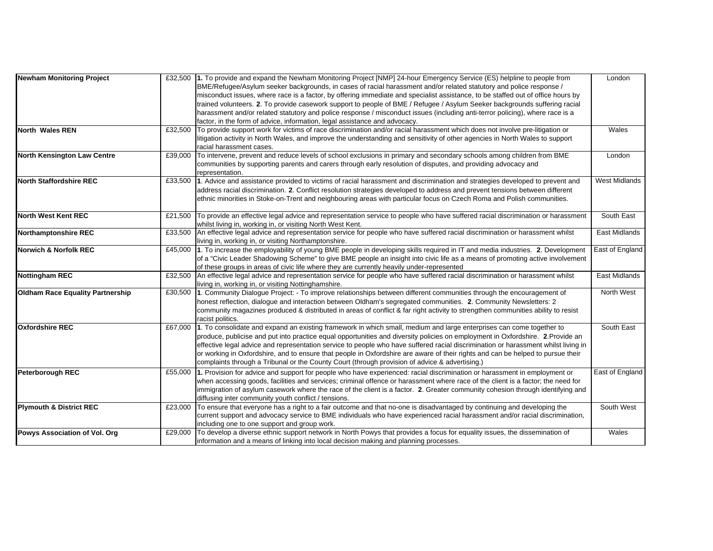| Newham Monitoring Project               |         | £32,500 1. To provide and expand the Newham Monitoring Project [NMP] 24-hour Emergency Service (ES) helpline to people from             | London               |
|-----------------------------------------|---------|-----------------------------------------------------------------------------------------------------------------------------------------|----------------------|
|                                         |         | BME/Refugee/Asylum seeker backgrounds, in cases of racial harassment and/or related statutory and police response /                     |                      |
|                                         |         | misconduct issues, where race is a factor, by offering immediate and specialist assistance, to be staffed out of office hours by        |                      |
|                                         |         | trained volunteers. 2. To provide casework support to people of BME / Refugee / Asylum Seeker backgrounds suffering racial              |                      |
|                                         |         | harassment and/or related statutory and police response / misconduct issues (including anti-terror policing), where race is a           |                      |
|                                         |         | factor, in the form of advice, information, legal assistance and advocacy.                                                              |                      |
| North Wales REN                         | £32,500 | To provide support work for victims of race discrimination and/or racial harassment which does not involve pre-litigation or            | Wales                |
|                                         |         | litigation activity in North Wales, and improve the understanding and sensitivity of other agencies in North Wales to support           |                      |
|                                         |         | racial harassment cases.                                                                                                                |                      |
| <b>North Kensington Law Centre</b>      | £39,000 | To intervene, prevent and reduce levels of school exclusions in primary and secondary schools among children from BME                   | London               |
|                                         |         | communities by supporting parents and carers through early resolution of disputes, and providing advocacy and                           |                      |
|                                         |         | representation.                                                                                                                         |                      |
| North Staffordshire REC                 |         | £33,500 1. Advice and assistance provided to victims of racial harassment and discrimination and strategies developed to prevent and    | <b>West Midlands</b> |
|                                         |         | address racial discrimination. 2. Conflict resolution strategies developed to address and prevent tensions between different            |                      |
|                                         |         | ethnic minorities in Stoke-on-Trent and neighbouring areas with particular focus on Czech Roma and Polish communities.                  |                      |
|                                         |         |                                                                                                                                         |                      |
| <b>North West Kent REC</b>              |         | £21,500 To provide an effective legal advice and representation service to people who have suffered racial discrimination or harassment | South East           |
|                                         |         | whilst living in, working in, or visiting North West Kent.                                                                              |                      |
| <b>Northamptonshire REC</b>             | £33.500 | An effective legal advice and representation service for people who have suffered racial discrimination or harassment whilst            | East Midlands        |
|                                         |         | living in, working in, or visiting Northamptonshire.                                                                                    |                      |
| <b>Norwich &amp; Norfolk REC</b>        | £45,000 | 1. To increase the employability of young BME people in developing skills required in IT and media industries. 2. Development           | East of England      |
|                                         |         | of a "Civic Leader Shadowing Scheme" to give BME people an insight into civic life as a means of promoting active involvement           |                      |
|                                         |         | of these groups in areas of civic life where they are currently heavily under-represented                                               |                      |
| <b>Nottingham REC</b>                   |         | £32,500 An effective legal advice and representation service for people who have suffered racial discrimination or harassment whilst    | East Midlands        |
|                                         |         | living in, working in, or visiting Nottinghamshire.                                                                                     |                      |
| <b>Oldham Race Equality Partnership</b> | £30,500 | 1. Community Dialogue Project: - To improve relationships between different communities through the encouragement of                    | North West           |
|                                         |         | honest reflection, dialogue and interaction between Oldham's segregated communities. 2. Community Newsletters: 2                        |                      |
|                                         |         | community magazines produced & distributed in areas of conflict & far right activity to strengthen communities ability to resist        |                      |
|                                         |         | racist politics.                                                                                                                        |                      |
| <b>Oxfordshire REC</b>                  |         | £67,000 1. To consolidate and expand an existing framework in which small, medium and large enterprises can come together to            | South East           |
|                                         |         | produce, publicise and put into practice equal opportunities and diversity policies on employment in Oxfordshire. 2. Provide an         |                      |
|                                         |         | effective legal advice and representation service to people who have suffered racial discrimination or harassment whilst living in      |                      |
|                                         |         | or working in Oxfordshire, and to ensure that people in Oxfordshire are aware of their rights and can be helped to pursue their         |                      |
|                                         |         | complaints through a Tribunal or the County Court (through provision of advice & advertising.)                                          |                      |
| <b>Peterborough REC</b>                 | £55,000 | 1. Provision for advice and support for people who have experienced: racial discrimination or harassment in employment or               | East of England      |
|                                         |         | when accessing goods, facilities and services; criminal offence or harassment where race of the client is a factor; the need for        |                      |
|                                         |         | immigration of asylum casework where the race of the client is a factor. 2. Greater community cohesion through identifying and          |                      |
|                                         |         | diffusing inter community youth conflict / tensions.                                                                                    |                      |
| <b>Plymouth &amp; District REC</b>      | £23.000 | To ensure that everyone has a right to a fair outcome and that no-one is disadvantaged by continuing and developing the                 | South West           |
|                                         |         | current support and advocacy service to BME individuals who have experienced racial harassment and/or racial discrimination,            |                      |
|                                         |         | including one to one support and group work.                                                                                            |                      |
| Powys Association of Vol. Org           | £29,000 | To develop a diverse ethnic support network in North Powys that provides a focus for equality issues, the dissemination of              | Wales                |
|                                         |         | information and a means of linking into local decision making and planning processes.                                                   |                      |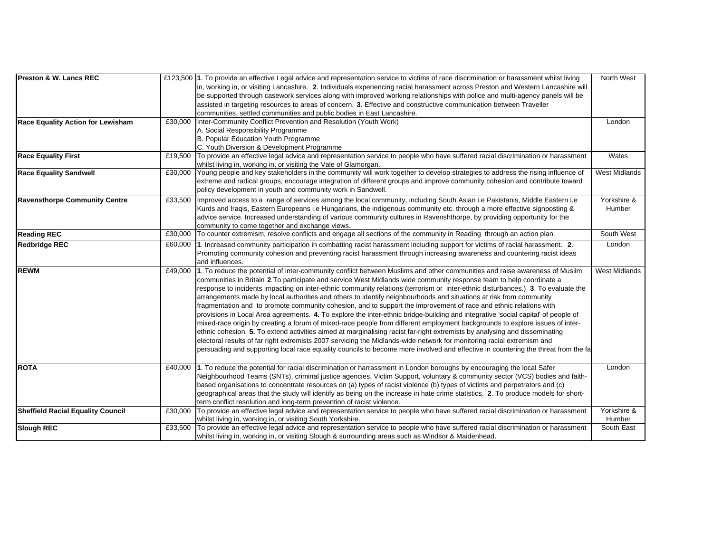| <b>Preston &amp; W. Lancs REC</b>        |         | £123,500 1. To provide an effective Legal advice and representation service to victims of race discrimination or harassment whilst living | North West           |
|------------------------------------------|---------|-------------------------------------------------------------------------------------------------------------------------------------------|----------------------|
|                                          |         | in, working in, or visiting Lancashire. 2. Individuals experiencing racial harassment across Preston and Western Lancashire will          |                      |
|                                          |         | be supported through casework services along with improved working relationships with police and multi-agency panels will be              |                      |
|                                          |         | assisted in targeting resources to areas of concern. 3. Effective and constructive communication between Traveller                        |                      |
|                                          |         | communities, settled communities and public bodies in East Lancashire.                                                                    |                      |
| <b>Race Equality Action for Lewisham</b> | £30.000 | Inter-Community Conflict Prevention and Resolution (Youth Work)                                                                           | London               |
|                                          |         | A. Social Responsibility Programme                                                                                                        |                      |
|                                          |         | B. Popular Education Youth Programme                                                                                                      |                      |
|                                          |         | C. Youth Diversion & Development Programme                                                                                                |                      |
| <b>Race Equality First</b>               | £19.500 | To provide an effective legal advice and representation service to people who have suffered racial discrimination or harassment           | Wales                |
|                                          |         | whilst living in, working in, or visiting the Vale of Glamorgan.                                                                          |                      |
| <b>Race Equality Sandwell</b>            | £30,000 | Young people and key stakeholders in the community will work together to develop strategies to address the rising influence of            | <b>West Midlands</b> |
|                                          |         | extreme and radical groups, encourage integration of different groups and improve community cohesion and contribute toward                |                      |
|                                          |         | policy development in youth and community work in Sandwell.                                                                               |                      |
| <b>Ravensthorpe Community Centre</b>     | £33.500 | Improved access to a range of services among the local community, including South Asian i.e Pakistanis, Middle Eastern i.e                | Yorkshire &          |
|                                          |         | Kurds and Iragis, Eastern Europeans i.e Hungarians, the indigenous community etc. through a more effective signposting &                  | Humber               |
|                                          |         | advice service. Increased understanding of various community cultures in Ravenshthorpe, by providing opportunity for the                  |                      |
|                                          |         | community to come together and exchange views.                                                                                            |                      |
| <b>Reading REC</b>                       | £30,000 | To counter extremism, resolve conflicts and engage all sections of the community in Reading through an action plan.                       | South West           |
| <b>Redbridge REC</b>                     | £60,000 | 1. Increased community participation in combatting racist harassment including support for victims of racial harassment. 2.               | London               |
|                                          |         | Promoting community cohesion and preventing racist harassment through increasing awareness and countering racist ideas                    |                      |
|                                          |         | and influences.                                                                                                                           |                      |
| <b>REWM</b>                              | £49,000 | 1. To reduce the potential of inter-community conflict between Muslims and other communities and raise awareness of Muslim                | <b>West Midlands</b> |
|                                          |         | communities in Britain 2. To participate and service West Midlands wide community response team to help coordinate a                      |                      |
|                                          |         | response to incidents impacting on inter-ethnic community relations (terrorism or inter-ethnic disturbances.) 3. To evaluate the          |                      |
|                                          |         | arrangements made by local authorities and others to identify neighbourhoods and situations at risk from community                        |                      |
|                                          |         | fragmentation and to promote community cohesion, and to support the improvement of race and ethnic relations with                         |                      |
|                                          |         | provisions in Local Area agreements. 4. To explore the inter-ethnic bridge-building and integrative 'social capital' of people of         |                      |
|                                          |         | mixed-race origin by creating a forum of mixed-race people from different employment backgrounds to explore issues of inter-              |                      |
|                                          |         | ethnic cohesion. 5. To extend activities aimed at marginalising racist far-right extremists by analysing and disseminating                |                      |
|                                          |         | electoral results of far right extremists 2007 servicing the Midlands-wide network for monitoring racial extremism and                    |                      |
|                                          |         | persuading and supporting local race equality councils to become more involved and effective in countering the threat from the fa         |                      |
|                                          |         |                                                                                                                                           |                      |
| <b>ROTA</b>                              | £40,000 | 1. To reduce the potential for racial discrimination or harrassment in London boroughs by encouraging the local Safer                     | London               |
|                                          |         | Neighbourhood Teams (SNTs), criminal justice agencies, Victim Support, voluntary & community sector (VCS) bodies and faith-               |                      |
|                                          |         | based organisations to concentrate resources on (a) types of racist violence (b) types of victims and perpetrators and (c)                |                      |
|                                          |         | geographical areas that the study will identify as being on the increase in hate crime statistics. 2. To produce models for short-        |                      |
|                                          |         | term conflict resolution and long-term prevention of racist violence.                                                                     |                      |
| <b>Sheffield Racial Equality Council</b> | £30,000 | To provide an effective legal advice and representation service to people who have suffered racial discrimination or harassment           | Yorkshire &          |
|                                          |         | whilst living in, working in, or visiting South Yorkshire.                                                                                | Humber               |
| <b>Slough REC</b>                        | £33,500 | To provide an effective legal advice and representation service to people who have suffered racial discrimination or harassment           | South East           |
|                                          |         | whilst living in, working in, or visiting Slough & surrounding areas such as Windsor & Maidenhead.                                        |                      |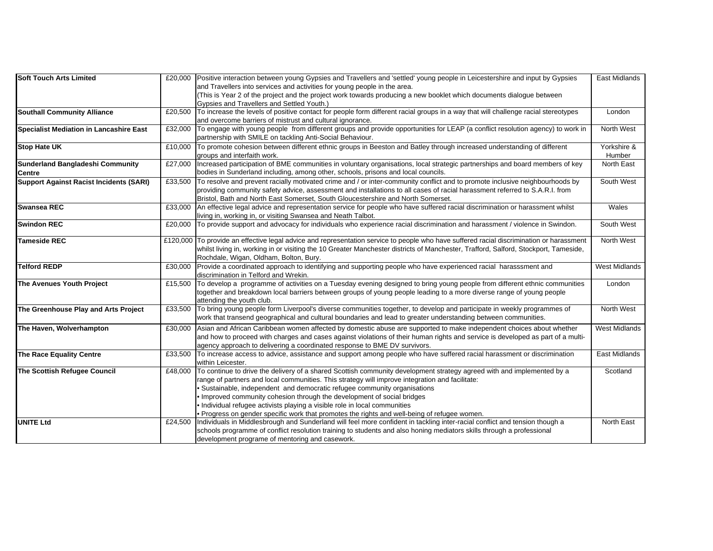| <b>Soft Touch Arts Limited</b>                 |         | £20,000 Positive interaction between young Gypsies and Travellers and 'settled' young people in Leicestershire and input by Gypsies                                                                                                                                                                                                                                                                                                                                                                                                                             | East Midlands        |
|------------------------------------------------|---------|-----------------------------------------------------------------------------------------------------------------------------------------------------------------------------------------------------------------------------------------------------------------------------------------------------------------------------------------------------------------------------------------------------------------------------------------------------------------------------------------------------------------------------------------------------------------|----------------------|
|                                                |         | and Travellers into services and activities for young people in the area.                                                                                                                                                                                                                                                                                                                                                                                                                                                                                       |                      |
|                                                |         | (This is Year 2 of the project and the project work towards producing a new booklet which documents dialogue between                                                                                                                                                                                                                                                                                                                                                                                                                                            |                      |
|                                                |         | Gypsies and Travellers and Settled Youth.)                                                                                                                                                                                                                                                                                                                                                                                                                                                                                                                      |                      |
| <b>Southall Community Alliance</b>             | £20,500 | To increase the levels of positive contact for people form different racial groups in a way that will challenge racial stereotypes                                                                                                                                                                                                                                                                                                                                                                                                                              | London               |
|                                                |         | and overcome barriers of mistrust and cultural ignorance.                                                                                                                                                                                                                                                                                                                                                                                                                                                                                                       |                      |
| <b>Specialist Mediation in Lancashire East</b> | £32,000 | To engage with young people from different groups and provide opportunities for LEAP (a conflict resolution agency) to work in<br>partnership with SMILE on tackling Anti-Social Behaviour.                                                                                                                                                                                                                                                                                                                                                                     | North West           |
| <b>Stop Hate UK</b>                            |         | £10,000 To promote cohesion between different ethnic groups in Beeston and Batley through increased understanding of different                                                                                                                                                                                                                                                                                                                                                                                                                                  | Yorkshire &          |
|                                                |         | groups and interfaith work.                                                                                                                                                                                                                                                                                                                                                                                                                                                                                                                                     | Humber               |
| <b>Sunderland Bangladeshi Community</b>        | £27,000 | Increased participation of BME communities in voluntary organisations, local strategic partnerships and board members of key                                                                                                                                                                                                                                                                                                                                                                                                                                    | North East           |
| Centre                                         |         | bodies in Sunderland including, among other, schools, prisons and local councils.                                                                                                                                                                                                                                                                                                                                                                                                                                                                               |                      |
| <b>Support Against Racist Incidents (SARI)</b> | £33,500 | To resolve and prevent racially motivated crime and / or inter-community conflict and to promote inclusive neighbourhoods by<br>providing community safety advice, assessment and installations to all cases of racial harassment referred to S.A.R.I. from<br>Bristol, Bath and North East Somerset, South Gloucestershire and North Somerset.                                                                                                                                                                                                                 | South West           |
| <b>Swansea REC</b>                             |         | £33,000 An effective legal advice and representation service for people who have suffered racial discrimination or harassment whilst<br>living in, working in, or visiting Swansea and Neath Talbot.                                                                                                                                                                                                                                                                                                                                                            | Wales                |
| <b>Swindon REC</b>                             | £20,000 | To provide support and advocacy for individuals who experience racial discrimination and harassment / violence in Swindon.                                                                                                                                                                                                                                                                                                                                                                                                                                      | South West           |
| <b>Tameside REC</b>                            |         | £120,000 To provide an effective legal advice and representation service to people who have suffered racial discrimination or harassment                                                                                                                                                                                                                                                                                                                                                                                                                        | North West           |
|                                                |         | whilst living in, working in or visiting the 10 Greater Manchester districts of Manchester, Trafford, Salford, Stockport, Tameside,<br>Rochdale, Wigan, Oldham, Bolton, Bury.                                                                                                                                                                                                                                                                                                                                                                                   |                      |
| <b>Telford REDP</b>                            |         | £30,000 Provide a coordinated approach to identifying and supporting people who have experienced racial harasssment and<br>discrimination in Telford and Wrekin.                                                                                                                                                                                                                                                                                                                                                                                                | <b>West Midlands</b> |
| The Avenues Youth Project                      |         | £15,500 To develop a programme of activities on a Tuesday evening designed to bring young people from different ethnic communities<br>together and breakdown local barriers between groups of young people leading to a more diverse range of young people<br>attending the youth club.                                                                                                                                                                                                                                                                         | London               |
| The Greenhouse Play and Arts Project           |         | £33,500 To bring young people form Liverpool's diverse communities together, to develop and participate in weekly programmes of<br>work that transend geographical and cultural boundaries and lead to greater understanding between communities.                                                                                                                                                                                                                                                                                                               | North West           |
| The Haven, Wolverhampton                       |         | £30,000 Asian and African Caribbean women affected by domestic abuse are supported to make independent choices about whether<br>and how to proceed with charges and cases against violations of their human rights and service is developed as part of a multi-<br>agency approach to delivering a coordinated response to BME DV survivors.                                                                                                                                                                                                                    | <b>West Midlands</b> |
| The Race Equality Centre                       |         | £33,500 To increase access to advice, assistance and support among people who have suffered racial harassment or discrimination<br>within Leicester.                                                                                                                                                                                                                                                                                                                                                                                                            | East Midlands        |
| The Scottish Refugee Council                   | £48,000 | To continue to drive the delivery of a shared Scottish community development strategy agreed with and implemented by a<br>range of partners and local communities. This strategy will improve integration and facilitate:<br>· Sustainable, independent and democratic refugee community organisations<br>. Improved community cohesion through the development of social bridges<br>. Individual refugee activists playing a visible role in local communities<br>. Progress on gender specific work that promotes the rights and well-being of refugee women. | Scotland             |
| <b>UNITE Ltd</b>                               | £24,500 | Individuals in Middlesbrough and Sunderland will feel more confident in tackling inter-racial conflict and tension though a<br>schools programme of conflict resolution training to students and also honing mediators skills through a professional<br>development programe of mentoring and casework.                                                                                                                                                                                                                                                         | North East           |